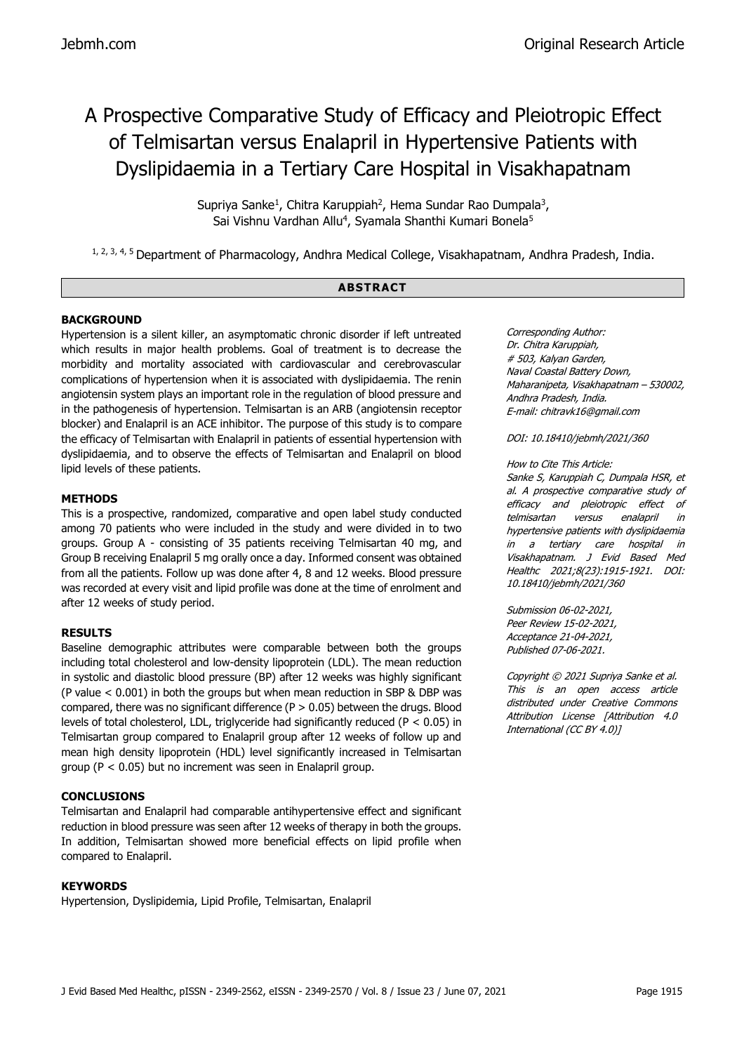# A Prospective Comparative Study of Efficacy and Pleiotropic Effect of Telmisartan versus Enalapril in Hypertensive Patients with Dyslipidaemia in a Tertiary Care Hospital in Visakhapatnam

Supriya Sanke<sup>1</sup>, Chitra Karuppiah<sup>2</sup>, Hema Sundar Rao Dumpala<sup>3</sup>, Sai Vishnu Vardhan Allu<sup>4</sup>, Syamala Shanthi Kumari Bonela<sup>5</sup>

1, 2, 3, 4, 5 Department of Pharmacology, Andhra Medical College, Visakhapatnam, Andhra Pradesh, India.

### **ABSTRACT**

# **BACKGROUND**

Hypertension is a silent killer, an asymptomatic chronic disorder if left untreated which results in major health problems. Goal of treatment is to decrease the morbidity and mortality associated with cardiovascular and cerebrovascular complications of hypertension when it is associated with dyslipidaemia. The renin angiotensin system plays an important role in the regulation of blood pressure and in the pathogenesis of hypertension. Telmisartan is an ARB (angiotensin receptor blocker) and Enalapril is an ACE inhibitor. The purpose of this study is to compare the efficacy of Telmisartan with Enalapril in patients of essential hypertension with dyslipidaemia, and to observe the effects of Telmisartan and Enalapril on blood lipid levels of these patients.

# **METHODS**

This is a prospective, randomized, comparative and open label study conducted among 70 patients who were included in the study and were divided in to two groups. Group A - consisting of 35 patients receiving Telmisartan 40 mg, and Group B receiving Enalapril 5 mg orally once a day. Informed consent was obtained from all the patients. Follow up was done after 4, 8 and 12 weeks. Blood pressure was recorded at every visit and lipid profile was done at the time of enrolment and after 12 weeks of study period.

# **RESULTS**

Baseline demographic attributes were comparable between both the groups including total cholesterol and low-density lipoprotein (LDL). The mean reduction in systolic and diastolic blood pressure (BP) after 12 weeks was highly significant (P value < 0.001) in both the groups but when mean reduction in SBP & DBP was compared, there was no significant difference  $(P > 0.05)$  between the drugs. Blood levels of total cholesterol, LDL, triglyceride had significantly reduced (P < 0.05) in Telmisartan group compared to Enalapril group after 12 weeks of follow up and mean high density lipoprotein (HDL) level significantly increased in Telmisartan group (P < 0.05) but no increment was seen in Enalapril group.

# **CONCLUSIONS**

Telmisartan and Enalapril had comparable antihypertensive effect and significant reduction in blood pressure was seen after 12 weeks of therapy in both the groups. In addition, Telmisartan showed more beneficial effects on lipid profile when compared to Enalapril.

# **KEYWORDS**

Hypertension, Dyslipidemia, Lipid Profile, Telmisartan, Enalapril

Corresponding Author: Dr. Chitra Karuppiah, # 503, Kalyan Garden, Naval Coastal Battery Down, Maharanipeta, Visakhapatnam – 530002, Andhra Pradesh, India. E-mail: chitravk16@gmail.com

DOI: 10.18410/jebmh/2021/360

#### How to Cite This Article:

Sanke S, Karuppiah C, Dumpala HSR, et al. A prospective comparative study of efficacy and pleiotropic effect of telmisartan versus enalapril in hypertensive patients with dyslipidaemia in a tertiary care hospital in Visakhapatnam. J Evid Based Med Healthc 2021;8(23):1915-1921. DOI: 10.18410/jebmh/2021/360

Submission 06-02-2021, Peer Review 15-02-2021, Acceptance 21-04-2021, Published 07-06-2021.

Copyright © 2021 Supriya Sanke et al. This is an open access article distributed under Creative Commons Attribution License [Attribution 4.0 International (CC BY 4.0)]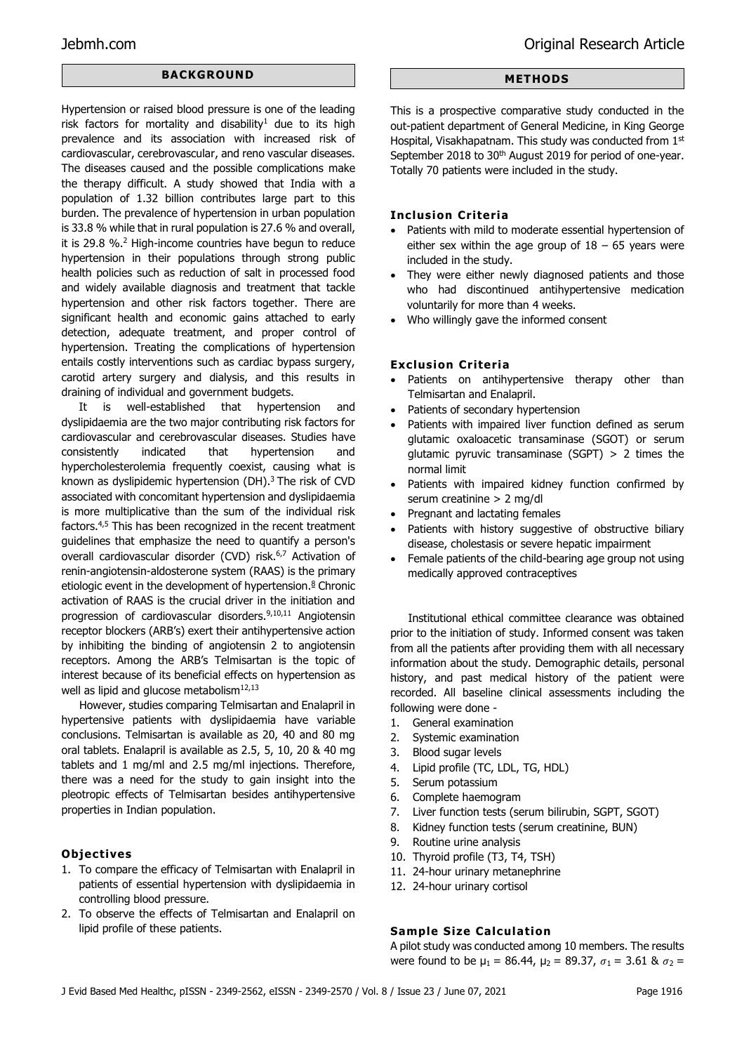# **BACKGROUND**

Hypertension or raised blood pressure is one of the leading risk factors for mortality and disability<sup>1</sup> due to its high prevalence and its association with increased risk of cardiovascular, cerebrovascular, and reno vascular diseases. The diseases caused and the possible complications make the therapy difficult. A study showed that India with a population of 1.32 billion contributes large part to this burden. The prevalence of hypertension in urban population is 33.8 % while that in rural population is 27.6 % and overall, it is 29.8 %.<sup>2</sup> High-income countries have begun to reduce hypertension in their populations through strong public health policies such as reduction of salt in processed food and widely available diagnosis and treatment that tackle hypertension and other risk factors together. There are significant health and economic gains attached to early detection, adequate treatment, and proper control of hypertension. Treating the complications of hypertension entails costly interventions such as cardiac bypass surgery, carotid artery surgery and dialysis, and this results in draining of individual and government budgets.

It is well-established that hypertension and dyslipidaemia are the two major contributing risk factors for cardiovascular and cerebrovascular diseases. Studies have consistently indicated that hypertension and hypercholesterolemia frequently coexist, causing what is known as dyslipidemic hypertension (DH).<sup>3</sup> The risk of CVD associated with concomitant hypertension and dyslipidaemia is more multiplicative than the sum of the individual risk factors.4,5 This has been recognized in the recent treatment guidelines that emphasize the need to quantify a person's overall cardiovascular disorder (CVD) risk.<sup>6,7</sup> Activation of renin-angiotensin-aldosterone system (RAAS) is the primary etiologic event in the development of hypertension. $8$  Chronic activation of RAAS is the crucial driver in the initiation and progression of cardiovascular disorders.9,10,11 Angiotensin receptor blockers (ARB's) exert their antihypertensive action by inhibiting the binding of angiotensin 2 to angiotensin receptors. Among the ARB's Telmisartan is the topic of interest because of its beneficial effects on hypertension as well as lipid and glucose metabolism<sup>12,13</sup>

However, studies comparing Telmisartan and Enalapril in hypertensive patients with dyslipidaemia have variable conclusions. Telmisartan is available as 20, 40 and 80 mg oral tablets. Enalapril is available as 2.5, 5, 10, 20 & 40 mg tablets and 1 mg/ml and 2.5 mg/ml injections. Therefore, there was a need for the study to gain insight into the pleotropic effects of Telmisartan besides antihypertensive properties in Indian population.

# **Objectives**

- 1. To compare the efficacy of Telmisartan with Enalapril in patients of essential hypertension with dyslipidaemia in controlling blood pressure.
- 2. To observe the effects of Telmisartan and Enalapril on lipid profile of these patients.

## **METHODS**

This is a prospective comparative study conducted in the out-patient department of General Medicine, in King George Hospital, Visakhapatnam. This study was conducted from 1st September 2018 to 30<sup>th</sup> August 2019 for period of one-year. Totally 70 patients were included in the study.

#### **Inclusion Criteria**

- Patients with mild to moderate essential hypertension of either sex within the age group of  $18 - 65$  years were included in the study.
- They were either newly diagnosed patients and those who had discontinued antihypertensive medication voluntarily for more than 4 weeks.
- Who willingly gave the informed consent

### **Exclusion Criteria**

- Patients on antihypertensive therapy other than Telmisartan and Enalapril.
- Patients of secondary hypertension
- Patients with impaired liver function defined as serum glutamic oxaloacetic transaminase (SGOT) or serum glutamic pyruvic transaminase (SGPT)  $> 2$  times the normal limit
- Patients with impaired kidney function confirmed by serum creatinine > 2 mg/dl
- Pregnant and lactating females
- Patients with history suggestive of obstructive biliary disease, cholestasis or severe hepatic impairment
- Female patients of the child-bearing age group not using medically approved contraceptives

Institutional ethical committee clearance was obtained prior to the initiation of study. Informed consent was taken from all the patients after providing them with all necessary information about the study. Demographic details, personal history, and past medical history of the patient were recorded. All baseline clinical assessments including the following were done -

- 1. General examination
- 2. Systemic examination
- 3. Blood sugar levels
- 4. Lipid profile (TC, LDL, TG, HDL)
- 5. Serum potassium
- 6. Complete haemogram
- 7. Liver function tests (serum bilirubin, SGPT, SGOT)
- 8. Kidney function tests (serum creatinine, BUN)
- 9. Routine urine analysis
- 10. Thyroid profile (T3, T4, TSH)
- 11. 24-hour urinary metanephrine
- 12. 24-hour urinary cortisol

# **Sample Size Calculation**

A pilot study was conducted among 10 members. The results were found to be  $\mu_1 = 86.44$ ,  $\mu_2 = 89.37$ ,  $\sigma_1 = 3.61$  &  $\sigma_2 =$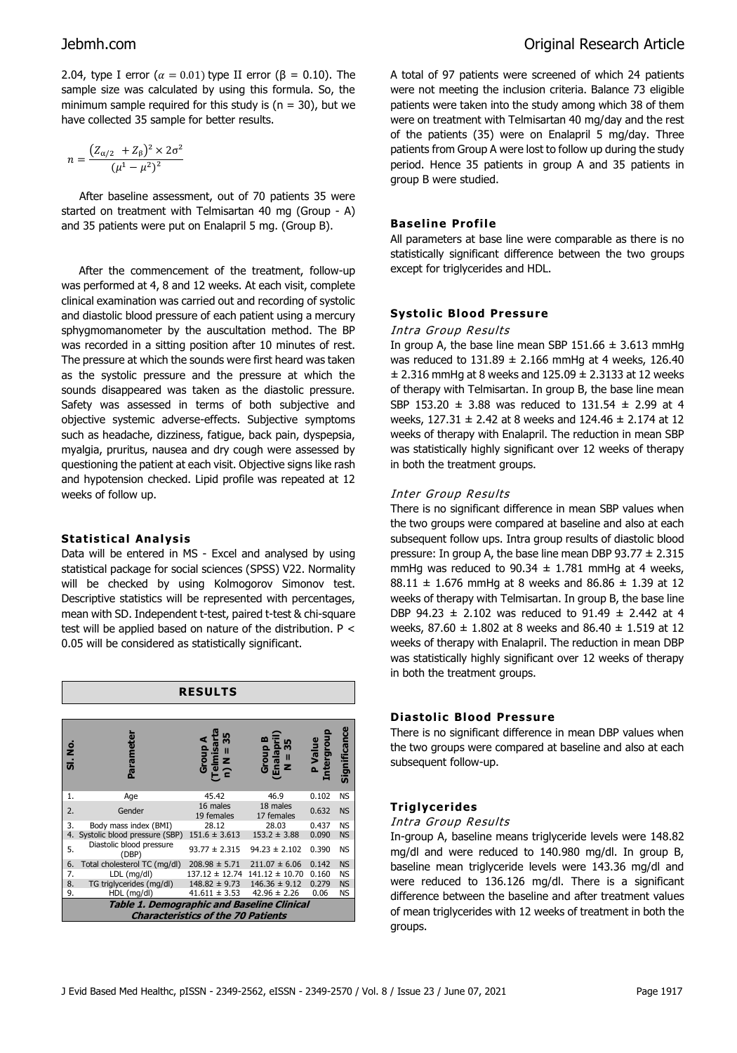2.04, type I error ( $\alpha = 0.01$ ) type II error ( $\beta = 0.10$ ). The sample size was calculated by using this formula. So, the minimum sample required for this study is ( $n = 30$ ), but we have collected 35 sample for better results.

$$
n = \frac{(Z_{\alpha/2} + Z_{\beta})^2 \times 2\sigma^2}{(\mu^1 - \mu^2)^2}
$$

After baseline assessment, out of 70 patients 35 were started on treatment with Telmisartan 40 mg (Group - A) and 35 patients were put on Enalapril 5 mg. (Group B).

After the commencement of the treatment, follow-up was performed at 4, 8 and 12 weeks. At each visit, complete clinical examination was carried out and recording of systolic and diastolic blood pressure of each patient using a mercury sphygmomanometer by the auscultation method. The BP was recorded in a sitting position after 10 minutes of rest. The pressure at which the sounds were first heard was taken as the systolic pressure and the pressure at which the sounds disappeared was taken as the diastolic pressure. Safety was assessed in terms of both subjective and objective systemic adverse-effects. Subjective symptoms such as headache, dizziness, fatigue, back pain, dyspepsia, myalgia, pruritus, nausea and dry cough were assessed by questioning the patient at each visit. Objective signs like rash and hypotension checked. Lipid profile was repeated at 12 weeks of follow up.

# **Statistical Analysis**

Data will be entered in MS - Excel and analysed by using statistical package for social sciences (SPSS) V22. Normality will be checked by using Kolmogorov Simonov test. Descriptive statistics will be represented with percentages, mean with SD. Independent t-test, paired t-test & chi-square test will be applied based on nature of the distribution. P < 0.05 will be considered as statistically significant.

| <b>RESULTS</b>                                                                          |                                   |                               |                                              |                           |              |  |  |  |  |  |  |  |
|-----------------------------------------------------------------------------------------|-----------------------------------|-------------------------------|----------------------------------------------|---------------------------|--------------|--|--|--|--|--|--|--|
|                                                                                         |                                   |                               |                                              |                           |              |  |  |  |  |  |  |  |
| ġ<br>ທີ່                                                                                | Parameter                         | (Telmisa<br>n) N = 3<br>Group | Group<br>(Enalap<br>m<br>$\blacksquare$<br>z | Intergrou<br><b>ule/d</b> | Significance |  |  |  |  |  |  |  |
| 1.                                                                                      | Age                               | 45.42                         | 46.9                                         | 0.102                     | <b>NS</b>    |  |  |  |  |  |  |  |
| 2.                                                                                      | Gender                            | 16 males<br>19 females        | 18 males<br>17 females                       | 0.632                     | <b>NS</b>    |  |  |  |  |  |  |  |
| 3.                                                                                      | Body mass index (BMI)             | 28.12                         | 28.03                                        | 0.437                     | <b>NS</b>    |  |  |  |  |  |  |  |
| 4.                                                                                      | Systolic blood pressure (SBP)     | $151.6 \pm 3.613$             | $153.2 \pm 3.88$                             | 0.090                     | <b>NS</b>    |  |  |  |  |  |  |  |
| 5.                                                                                      | Diastolic blood pressure<br>(DBP) | $93.77 \pm 2.315$             | $94.23 \pm 2.102$                            | 0.390                     | <b>NS</b>    |  |  |  |  |  |  |  |
| 6.                                                                                      | Total cholesterol TC (mg/dl)      | $208.98 \pm 5.71$             | $211.07 \pm 6.06$                            | 0.142                     | <b>NS</b>    |  |  |  |  |  |  |  |
| 7.                                                                                      | $LDL$ (mg/dl)                     | $137.12 \pm 12.74$            | $141.12 \pm 10.70$                           | 0.160                     | <b>NS</b>    |  |  |  |  |  |  |  |
| 8.                                                                                      | TG triglycerides (mg/dl)          | $148.82 \pm 9.73$             | $146.36 \pm 9.12$                            | 0.279                     | <b>NS</b>    |  |  |  |  |  |  |  |
| 9.                                                                                      | HDL (mg/dl)                       | $41.611 \pm 3.53$             | $42.96 \pm 2.26$                             | 0.06                      | <b>NS</b>    |  |  |  |  |  |  |  |
| Table 1. Demographic and Baseline Clinical<br><b>Characteristics of the 70 Patients</b> |                                   |                               |                                              |                           |              |  |  |  |  |  |  |  |

A total of 97 patients were screened of which 24 patients were not meeting the inclusion criteria. Balance 73 eligible patients were taken into the study among which 38 of them were on treatment with Telmisartan 40 mg/day and the rest of the patients (35) were on Enalapril 5 mg/day. Three patients from Group A were lost to follow up during the study period. Hence 35 patients in group A and 35 patients in group B were studied.

## **Baseline Profile**

All parameters at base line were comparable as there is no statistically significant difference between the two groups except for triglycerides and HDL.

### **Systolic Blood Pressure**

#### Intra Group Results

In group A, the base line mean SBP  $151.66 \pm 3.613$  mmHg was reduced to  $131.89 \pm 2.166$  mmHg at 4 weeks, 126.40  $\pm$  2.316 mmHg at 8 weeks and 125.09  $\pm$  2.3133 at 12 weeks of therapy with Telmisartan. In group B, the base line mean SBP 153.20  $\pm$  3.88 was reduced to 131.54  $\pm$  2.99 at 4 weeks,  $127.31 \pm 2.42$  at 8 weeks and  $124.46 \pm 2.174$  at 12 weeks of therapy with Enalapril. The reduction in mean SBP was statistically highly significant over 12 weeks of therapy in both the treatment groups.

### Inter Group Results

There is no significant difference in mean SBP values when the two groups were compared at baseline and also at each subsequent follow ups. Intra group results of diastolic blood pressure: In group A, the base line mean DBP 93.77  $\pm$  2.315 mmHg was reduced to 90.34  $\pm$  1.781 mmHg at 4 weeks, 88.11  $\pm$  1.676 mmHg at 8 weeks and 86.86  $\pm$  1.39 at 12 weeks of therapy with Telmisartan. In group B, the base line DBP 94.23  $\pm$  2.102 was reduced to 91.49  $\pm$  2.442 at 4 weeks, 87.60  $\pm$  1.802 at 8 weeks and 86.40  $\pm$  1.519 at 12 weeks of therapy with Enalapril. The reduction in mean DBP was statistically highly significant over 12 weeks of therapy in both the treatment groups.

#### **Diastolic Blood Pressure**

There is no significant difference in mean DBP values when the two groups were compared at baseline and also at each subsequent follow-up.

#### **Triglycerides**

#### Intra Group Results

In-group A, baseline means triglyceride levels were 148.82 mg/dl and were reduced to 140.980 mg/dl. In group B, baseline mean triglyceride levels were 143.36 mg/dl and were reduced to 136.126 mg/dl. There is a significant difference between the baseline and after treatment values of mean triglycerides with 12 weeks of treatment in both the groups.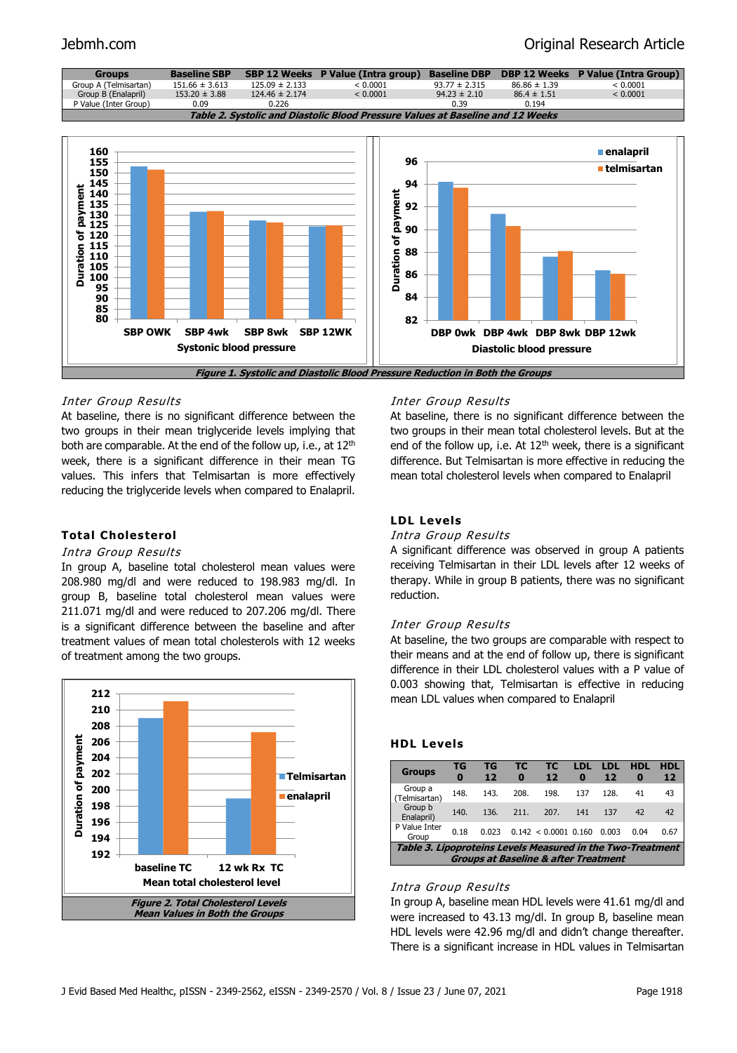# Jebmh.com Original Research Article



# Inter Group Results

At baseline, there is no significant difference between the two groups in their mean triglyceride levels implying that both are comparable. At the end of the follow up, i.e., at 12<sup>th</sup> week, there is a significant difference in their mean TG values. This infers that Telmisartan is more effectively reducing the triglyceride levels when compared to Enalapril.

# **Total Cholesterol**

#### Intra Group Results

In group A, baseline total cholesterol mean values were 208.980 mg/dl and were reduced to 198.983 mg/dl. In group B, baseline total cholesterol mean values were 211.071 mg/dl and were reduced to 207.206 mg/dl. There is a significant difference between the baseline and after treatment values of mean total cholesterols with 12 weeks of treatment among the two groups.



#### Inter Group Results

At baseline, there is no significant difference between the two groups in their mean total cholesterol levels. But at the end of the follow up, i.e. At  $12<sup>th</sup>$  week, there is a significant difference. But Telmisartan is more effective in reducing the mean total cholesterol levels when compared to Enalapril

#### **LDL Levels**

#### Intra Group Results

A significant difference was observed in group A patients receiving Telmisartan in their LDL levels after 12 weeks of therapy. While in group B patients, there was no significant reduction.

#### Inter Group Results

At baseline, the two groups are comparable with respect to their means and at the end of follow up, there is significant difference in their LDL cholesterol values with a P value of 0.003 showing that, Telmisartan is effective in reducing mean LDL values when compared to Enalapril

#### **HDL Levels**

| <b>Groups</b>                                                                                                        | TG<br>$\bf{0}$ | TG<br>12 | тс<br>$\bf{0}$ | тс<br>12               | LDL<br>0 | LDL<br>12 | <b>HDL</b><br>0 | <b>HDL</b><br>12 |  |  |  |
|----------------------------------------------------------------------------------------------------------------------|----------------|----------|----------------|------------------------|----------|-----------|-----------------|------------------|--|--|--|
| Group a<br>(Telmisartan)                                                                                             | 148.           | 143.     | 208.           | 198.                   | 137      | 128.      | 41              | 43               |  |  |  |
| Group b<br>Enalapril)                                                                                                | 140.           | 136.     | 211.           | 207.                   | 141      | 137       | 42              | 42               |  |  |  |
| P Value Inter<br>Group                                                                                               | 0.18           | 0.023    |                | $0.142 < 0.0001$ 0.160 |          | 0.003     | 0.04            | 0.67             |  |  |  |
| <b>Table 3. Lipoproteins Levels Measured in the Two-Treatment</b><br><b>Groups at Baseline &amp; after Treatment</b> |                |          |                |                        |          |           |                 |                  |  |  |  |

#### Intra Group Results

In group A, baseline mean HDL levels were 41.61 mg/dl and were increased to 43.13 mg/dl. In group B, baseline mean HDL levels were 42.96 mg/dl and didn't change thereafter. There is a significant increase in HDL values in Telmisartan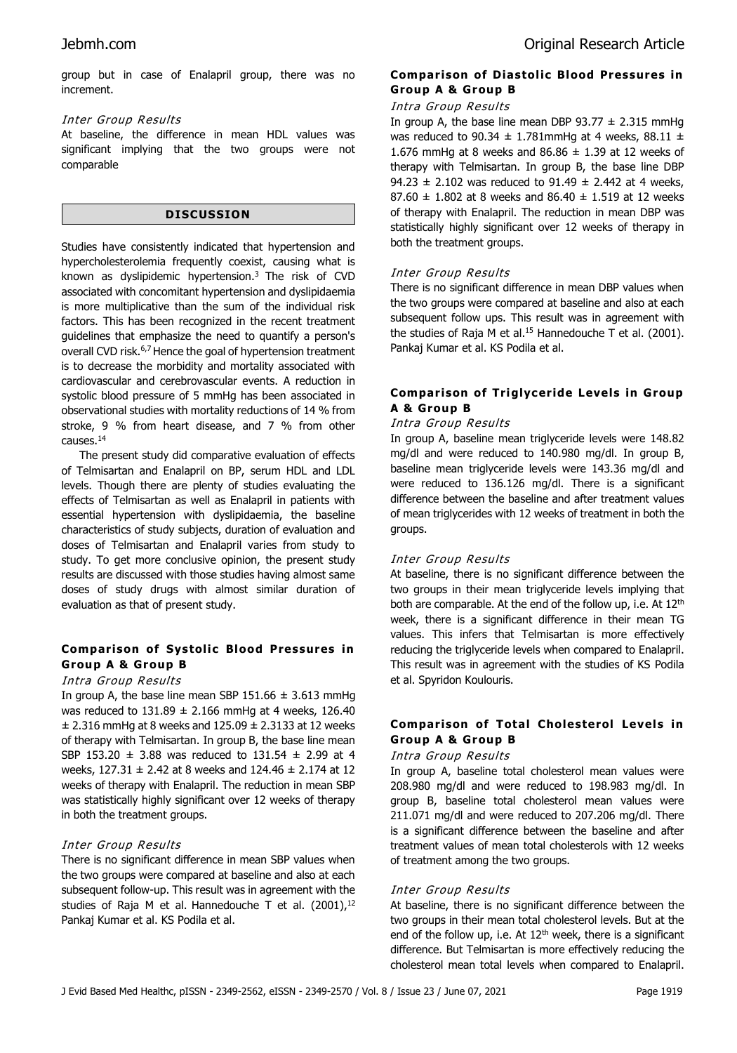group but in case of Enalapril group, there was no increment.

### Inter Group Results

At baseline, the difference in mean HDL values was significant implying that the two groups were not comparable

#### **DISCUSSION**

Studies have consistently indicated that hypertension and hypercholesterolemia frequently coexist, causing what is known as dyslipidemic hypertension. $3$  The risk of CVD associated with concomitant hypertension and dyslipidaemia is more multiplicative than the sum of the individual risk factors. This has been recognized in the recent treatment guidelines that emphasize the need to quantify a person's overall CVD risk.<sup>6,7</sup> Hence the goal of hypertension treatment is to decrease the morbidity and mortality associated with cardiovascular and cerebrovascular events. A reduction in systolic blood pressure of 5 mmHg has been associated in observational studies with mortality reductions of 14 % from stroke, 9 % from heart disease, and 7 % from other causes.<sup>14</sup>

The present study did comparative evaluation of effects of Telmisartan and Enalapril on BP, serum HDL and LDL levels. Though there are plenty of studies evaluating the effects of Telmisartan as well as Enalapril in patients with essential hypertension with dyslipidaemia, the baseline characteristics of study subjects, duration of evaluation and doses of Telmisartan and Enalapril varies from study to study. To get more conclusive opinion, the present study results are discussed with those studies having almost same doses of study drugs with almost similar duration of evaluation as that of present study.

# **Comparison of Systolic Blood Pressures in Group A & Group B**

# Intra Group Results

In group A, the base line mean SBP 151.66  $\pm$  3.613 mmHg was reduced to  $131.89 \pm 2.166$  mmHg at 4 weeks, 126.40  $\pm$  2.316 mmHg at 8 weeks and 125.09  $\pm$  2.3133 at 12 weeks of therapy with Telmisartan. In group B, the base line mean SBP 153.20 ± 3.88 was reduced to 131.54 ± 2.99 at 4 weeks, 127.31 ± 2.42 at 8 weeks and 124.46 ± 2.174 at 12 weeks of therapy with Enalapril. The reduction in mean SBP was statistically highly significant over 12 weeks of therapy in both the treatment groups.

# Inter Group Results

There is no significant difference in mean SBP values when the two groups were compared at baseline and also at each subsequent follow-up. This result was in agreement with the studies of Raja M et al. Hannedouche T et al. (2001),<sup>12</sup> Pankaj Kumar et al. KS Podila et al.

# **Comparison of Diastolic Blood Pressures in Group A & Group B**

# Intra Group Results

In group A, the base line mean DBP  $93.77 \pm 2.315$  mmHg was reduced to 90.34  $\pm$  1.781mmHg at 4 weeks, 88.11  $\pm$ 1.676 mmHg at 8 weeks and  $86.86 \pm 1.39$  at 12 weeks of therapy with Telmisartan. In group B, the base line DBP 94.23  $\pm$  2.102 was reduced to 91.49  $\pm$  2.442 at 4 weeks, 87.60  $\pm$  1.802 at 8 weeks and 86.40  $\pm$  1.519 at 12 weeks of therapy with Enalapril. The reduction in mean DBP was statistically highly significant over 12 weeks of therapy in both the treatment groups.

# Inter Group Results

There is no significant difference in mean DBP values when the two groups were compared at baseline and also at each subsequent follow ups. This result was in agreement with the studies of Raja M et al.<sup>15</sup> Hannedouche T et al. (2001). Pankaj Kumar et al. KS Podila et al.

# **Comparison of Triglyceride Levels in Group A & Group B**

### Intra Group Results

In group A, baseline mean triglyceride levels were 148.82 mg/dl and were reduced to 140.980 mg/dl. In group B, baseline mean triglyceride levels were 143.36 mg/dl and were reduced to 136.126 mg/dl. There is a significant difference between the baseline and after treatment values of mean triglycerides with 12 weeks of treatment in both the groups.

# Inter Group Results

At baseline, there is no significant difference between the two groups in their mean triglyceride levels implying that both are comparable. At the end of the follow up, i.e. At 12<sup>th</sup> week, there is a significant difference in their mean TG values. This infers that Telmisartan is more effectively reducing the triglyceride levels when compared to Enalapril. This result was in agreement with the studies of KS Podila et al. Spyridon Koulouris.

# **Comparison of Total Cholesterol Levels in Group A & Group B**

# Intra Group Results

In group A, baseline total cholesterol mean values were 208.980 mg/dl and were reduced to 198.983 mg/dl. In group B, baseline total cholesterol mean values were 211.071 mg/dl and were reduced to 207.206 mg/dl. There is a significant difference between the baseline and after treatment values of mean total cholesterols with 12 weeks of treatment among the two groups.

# Inter Group Results

At baseline, there is no significant difference between the two groups in their mean total cholesterol levels. But at the end of the follow up, i.e. At  $12<sup>th</sup>$  week, there is a significant difference. But Telmisartan is more effectively reducing the cholesterol mean total levels when compared to Enalapril.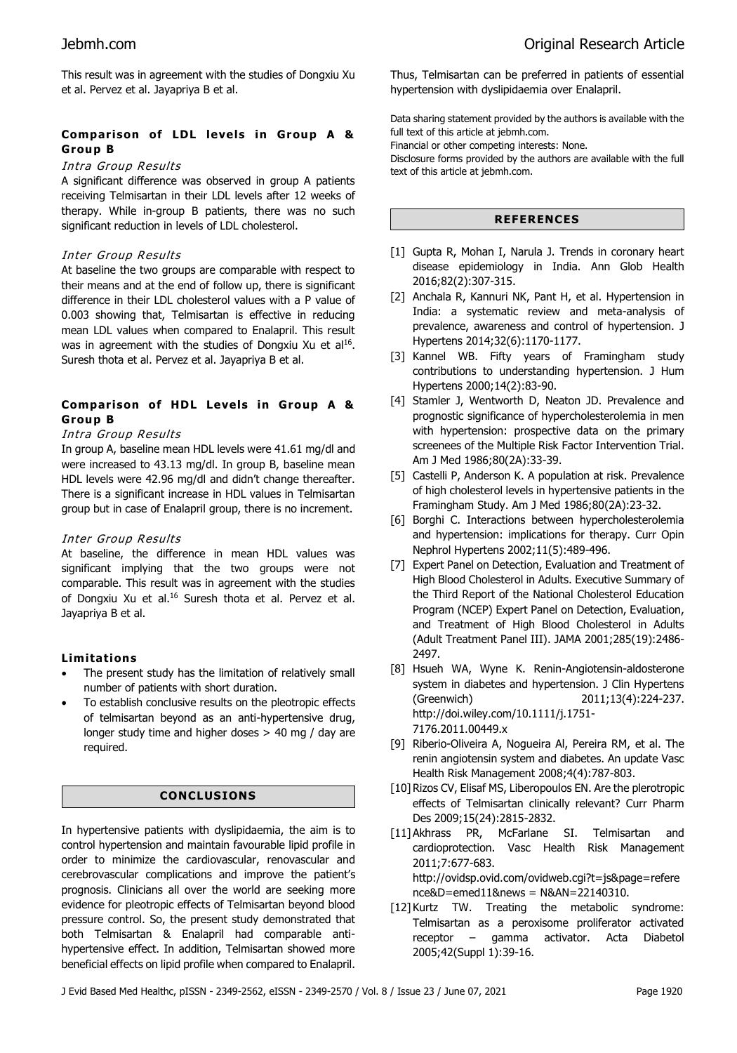This result was in agreement with the studies of Dongxiu Xu et al. Pervez et al. Jayapriya B et al.

# **Comparison of LDL levels in Group A & Group B**

# Intra Group Results

A significant difference was observed in group A patients receiving Telmisartan in their LDL levels after 12 weeks of therapy. While in-group B patients, there was no such significant reduction in levels of LDL cholesterol.

# Inter Group Results

At baseline the two groups are comparable with respect to their means and at the end of follow up, there is significant difference in their LDL cholesterol values with a P value of 0.003 showing that, Telmisartan is effective in reducing mean LDL values when compared to Enalapril. This result was in agreement with the studies of Dongxiu Xu et al<sup>16</sup>. Suresh thota et al. Pervez et al. Jayapriya B et al.

# **Comparison of HDL Levels in Group A & Group B**

# Intra Group Results

In group A, baseline mean HDL levels were 41.61 mg/dl and were increased to 43.13 mg/dl. In group B, baseline mean HDL levels were 42.96 mg/dl and didn't change thereafter. There is a significant increase in HDL values in Telmisartan group but in case of Enalapril group, there is no increment.

# Inter Group Results

At baseline, the difference in mean HDL values was significant implying that the two groups were not comparable. This result was in agreement with the studies of Dongxiu Xu et al. <sup>16</sup> Suresh thota et al. Pervez et al. Jayapriya B et al.

# **Limitations**

- The present study has the limitation of relatively small number of patients with short duration.
- To establish conclusive results on the pleotropic effects of telmisartan beyond as an anti-hypertensive drug, longer study time and higher doses > 40 mg / day are required.

# **CONCLUSIONS**

In hypertensive patients with dyslipidaemia, the aim is to control hypertension and maintain favourable lipid profile in order to minimize the cardiovascular, renovascular and cerebrovascular complications and improve the patient's prognosis. Clinicians all over the world are seeking more evidence for pleotropic effects of Telmisartan beyond blood pressure control. So, the present study demonstrated that both Telmisartan & Enalapril had comparable antihypertensive effect. In addition, Telmisartan showed more beneficial effects on lipid profile when compared to Enalapril.

Thus, Telmisartan can be preferred in patients of essential hypertension with dyslipidaemia over Enalapril.

Data sharing statement provided by the authors is available with the full text of this article at jebmh.com.

Financial or other competing interests: None.

Disclosure forms provided by the authors are available with the full text of this article at jebmh.com.

# **REFERENCES**

- [1] Gupta R, Mohan I, Narula J. Trends in coronary heart disease epidemiology in India. Ann Glob Health 2016;82(2):307-315.
- [2] Anchala R, Kannuri NK, Pant H, et al. Hypertension in India: a systematic review and meta-analysis of prevalence, awareness and control of hypertension. J Hypertens 2014;32(6):1170-1177.
- [3] Kannel WB. Fifty years of Framingham study contributions to understanding hypertension. J Hum Hypertens 2000;14(2):83-90.
- [4] Stamler J, Wentworth D, Neaton JD. Prevalence and prognostic significance of hypercholesterolemia in men with hypertension: prospective data on the primary screenees of the Multiple Risk Factor Intervention Trial. Am J Med 1986;80(2A):33-39.
- [5] Castelli P, Anderson K. A population at risk. Prevalence of high cholesterol levels in hypertensive patients in the Framingham Study. Am J Med 1986;80(2A):23-32.
- [6] Borghi C. Interactions between hypercholesterolemia and hypertension: implications for therapy. Curr Opin Nephrol Hypertens 2002;11(5):489-496.
- [7] Expert Panel on Detection, Evaluation and Treatment of High Blood Cholesterol in Adults. Executive Summary of the Third Report of the National Cholesterol Education Program (NCEP) Expert Panel on Detection, Evaluation, and Treatment of High Blood Cholesterol in Adults (Adult Treatment Panel III). JAMA 2001;285(19):2486- 2497.
- [8] Hsueh WA, Wyne K. Renin-Angiotensin-aldosterone system in diabetes and hypertension. J Clin Hypertens (Greenwich) 2011;13(4):224-237. http://doi.wiley.com/10.1111/j.1751- 7176.2011.00449.x
- [9] Riberio-Oliveira A, Nogueira Al, Pereira RM, et al. The renin angiotensin system and diabetes. An update Vasc Health Risk Management 2008;4(4):787-803.
- [10] Rizos CV, Elisaf MS, Liberopoulos EN. Are the plerotropic effects of Telmisartan clinically relevant? Curr Pharm Des 2009;15(24):2815-2832.
- [11] Akhrass PR, McFarlane SI. Telmisartan and cardioprotection. Vasc Health Risk Management 2011;7:677-683. http://ovidsp.ovid.com/ovidweb.cgi?t=js&page=refere nce&D=emed11&news = N&AN=22140310.
- [12] Kurtz TW. Treating the metabolic syndrome: Telmisartan as a peroxisome proliferator activated receptor – gamma activator. Acta Diabetol 2005;42(Suppl 1):39-16.

J Evid Based Med Healthc, pISSN - 2349-2562, eISSN - 2349-2570 / Vol. 8 / Issue 23 / June 07, 2021 Page 1920